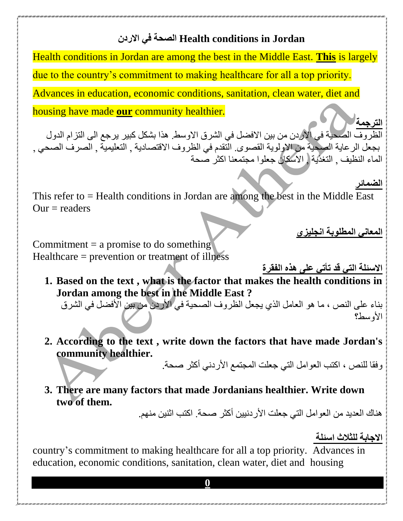# **االردن في الصحة Health conditions in Jordan**

Health conditions in Jordan are among the best in the Middle East. **This** is largely due to the country's commitment to making healthcare for all a top priority. Advances in education, economic conditions, sanitation, clean water, diet and housing have made **our** community healthier.

**الترجمة**  الظروف الصحية في االردن من بين االفضل في الشرق االوسط. هذا بشكل كبير يرجع الى التزام الدول بجعل الرعاية الصحية من االولوية القصوى. التقدم في الظروف االقتصادية , التعليمية , الصرف الصحي , الماء النظيف , التغذية , االسكان جعلوا مجتمعنا اكثر صحة

**الضمائر**

This refer to = Health conditions in Jordan are among the best in the Middle East  $Our = readers$ 

**المعاني المطلوبة انجليزي**

Commitment  $=$  a promise to do something Healthcare = prevention or treatment of illness

**االسئلة التي قد تأتي على هذه الفقرة**

**1. Based on the text , what is the factor that makes the health conditions in Jordan among the best in the Middle East ?** 

بناء على النص ، ما هو العامل الذي يجعل الظروف الصحية في الأردن من بين الأفضل في الشرق األوسط؟

**2. According to the text , write down the factors that have made Jordan's community healthier.** 

و فقا للنص ، اكتب العوامل التي جعلت المجتمع الأر دني أكثر صحة.

**3. There are many factors that made Jordanians healthier. Write down two of them.** 

هناك العديد من العوامل التي جعلت الأردنيين أكثر صحة. اكتب اثنين منهم.

**االجابة للثالث اسئلة** 

country's commitment to making healthcare for all a top priority. Advances in education, economic conditions, sanitation, clean water, diet and housing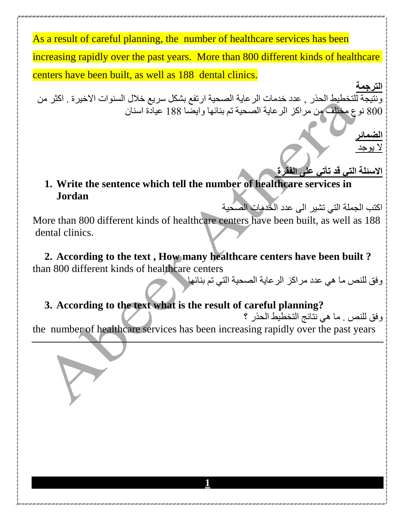As a result of careful planning, the number of healthcare services has been increasing rapidly over the past years. More than 800 different kinds of healthcare centers have been built, as well as 188 dental clinics.

**الترجمة** ونتيجة للتخطيط الحذر , عدد خدمات الرعاية الصحية ارتفع بشكل سريع خالل السنوات االخيرة . اكثر من 800 نوع مختلف من مراكز الرعاية الصحية تم بنائها وايضا 188 عيادة اسنان

> **الضمائر** ال يوجد

### **االسئلة التي قد تأتي على الفقرة 1. Write the sentence which tell the number of healthcare services in Jordan**

اكتب الجملة التي تشير الى عدد الخدمات الصحية

More than 800 different kinds of healthcare centers have been built, as well as 188 dental clinics.

**2. According to the text , How many healthcare centers have been built ?** than 800 different kinds of healthcare centers

وفق للنص ما هي عدد مراكز الرعاية الصحية التي تم بنائها

## **3. According to the text what is the result of careful planning?**

وفق للنص . ما هي نتائج التخطيط الحذر ؟

the number of healthcare services has been increasing rapidly over the past years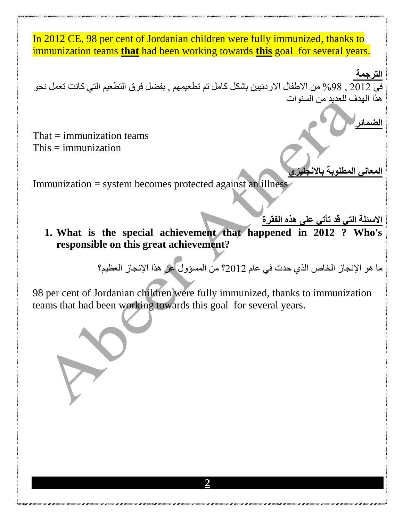In 2012 CE, 98 per cent of Jordanian children were fully immunized, thanks to immunization teams **that** had been working towards **this** goal for several years.

**الترجمة**  في 2012 , %98 من االطفال االردنيين بشكل كامل تم تطعيمهم , بفضل فرق التطعيم التي كانت تعمل نحو هذا الهدف للعديد من السنوات

That  $=$  immunization teams  $This = immunization$ 

**المعاني المطلوبة باالنجليزي** 

**الضمائر**

Immunization = system becomes protected against an illness

**االسئلة التي قد تأتي على هذه الفقرة**

**1. What is the special achievement that happened in 2012 ? Who's responsible on this great achievement?**

ما هو اإلنجاز الخاص الذي حدث في عام 2012؟ من المسؤول عن هذا اإلنجاز العظيم؟

98 per cent of Jordanian children were fully immunized, thanks to immunization teams that had been working towards this goal for several years.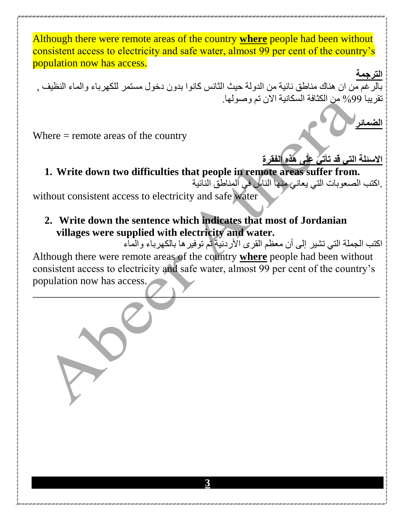Although there were remote areas of the country **where** people had been without consistent access to electricity and safe water, almost 99 per cent of the country's population now has access.

**الترجمة**  بالرغم من ان هناك مناطق نائية من الدولة حيث الثانس كانوا بدون دخول مستمر للكهرباء والماء النظيف , تقريبا %99 من الكثافة السكانية االن تم وصولها.

**الضمائر**

**االسئلة التي قد تأتي على هذه الفقرة**

Where = remote areas of the country

**1. Write down two difficulties that people in remote areas suffer from.** 

.اكتب الصعوبات التي يعاني منها الناس في المناطق النائية

without consistent access to electricity and safe water

**2. Write down the sentence which indicates that most of Jordanian villages were supplied with electricity and water.** 

اكتب الجملة التي تشير إلى أن معظم القرى الأردنية تم توفير ها بالكهرباء والماء Although there were remote areas of the country **where** people had been without consistent access to electricity and safe water, almost 99 per cent of the country's population now has access.

 $\sim$  ,  $\sim$  ,  $\sim$  ,  $\sim$  ,  $\sim$  ,  $\sim$  ,  $\sim$  ,  $\sim$  ,  $\sim$  ,  $\sim$  ,  $\sim$  ,  $\sim$  ,  $\sim$  ,  $\sim$  ,  $\sim$  ,  $\sim$  ,  $\sim$  ,  $\sim$  ,  $\sim$  ,  $\sim$  ,  $\sim$  ,  $\sim$  ,  $\sim$  ,  $\sim$  ,  $\sim$  ,  $\sim$  ,  $\sim$  ,  $\sim$  ,  $\sim$  ,  $\sim$  ,  $\sim$  ,  $\sim$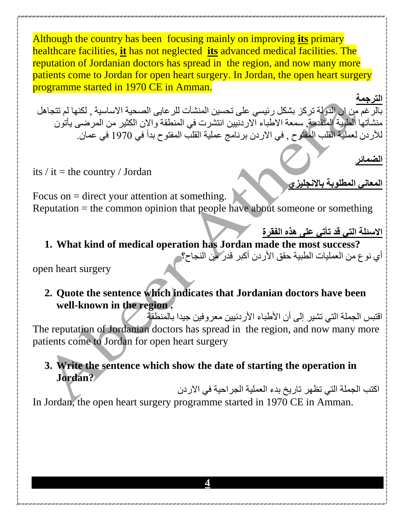Although the country has been focusing mainly on improving **its** primary healthcare facilities, **it** has not neglected **its** advanced medical facilities. The reputation of Jordanian doctors has spread in the region, and now many more patients come to Jordan for open heart surgery. In Jordan, the open heart surgery programme started in 1970 CE in Amman.

**الترجمة**  بالرغم من ان الدولة تركز بشكل رئيسي على تحسين المنشآت للرعايى الصحية االساسية , لكنها لم تتجاهل منشآتها الطبية المتقدمة, سمعة االطباء االردنيين انتشرت في المنطقة واالن الكثير من المرضى يأتون لألردن لعملية القلب المفتوح , في االردن برنامج عملية القلب المفتوح بدأ في 1970 في عمان.

its  $\ell$  it = the country  $\ell$  Jordan

Focus on = direct your attention at something. Reputation = the common opinion that people have about someone or something

**االسئلة التي قد تأتي على هذه الفقرة**

**الضمائر** 

**المعاني المطلوبة باالنجليزي**

**1. What kind of medical operation has Jordan made the most success?** أي نوع من العمليات الطبية حقق األردن أكبر قدر من النجاح؟

open heart surgery

**2. Quote the sentence which indicates that Jordanian doctors have been well-known in the region .**

اقتبس الجملة التي تشير إلى أن الأطباء الأردنيين معروفين جيدا بالمنطقة The reputation of Jordanian doctors has spread in the region, and now many more patients come to Jordan for open heart surgery

### **3. Write the sentence which show the date of starting the operation in Jordan?**

اكتب الجملة التي تظهر تاريخ بدء العملية الجراحية في االردن In Jordan, the open heart surgery programme started in 1970 CE in Amman.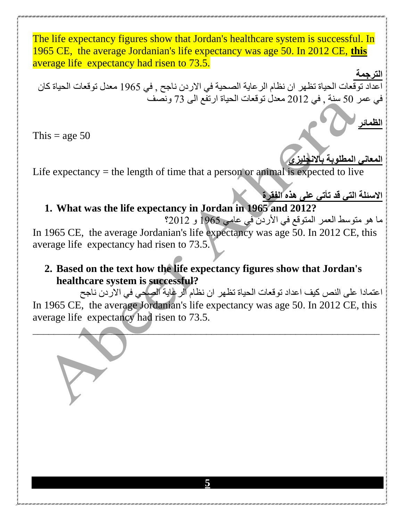The life expectancy figures show that Jordan's healthcare system is successful. In 1965 CE, the average Jordanian's life expectancy was age 50. In 2012 CE, **this** average life expectancy had risen to 73.5.

**الترجمة**  اعداد توقعات الحياة تظهر ان نظام الرعاية الصحية في الاردن ناجح , في 1965 معدل توقعات الحياة كان في عمر 50 سنة , في 2012 معدل توقعات الحياة ارتفع الى 73 ونصف

This = age  $50$ 

**المعاني المطلوبة باالنجليزي**

**الظمائر**

Life expectancy  $=$  the length of time that a person or animal is expected to live

### **االسئلة التي قد تأتي على هذه الفقرة 1. What was the life expectancy in Jordan in 1965 and 2012?**

ما هو متوسط العمر المتوقع في األردن في عامي 1965 و 2012؟ In 1965 CE, the average Jordanian's life expectancy was age 50. In 2012 CE, this average life expectancy had risen to 73.5.

## **2. Based on the text how the life expectancy figures show that Jordan's healthcare system is successful?**

اعتمادا على النص كيف اعداد توقعات الحياة تظهر ان نظام الرعاية الصحي في االردن ناجح In 1965 CE, the average Jordanian's life expectancy was age 50. In 2012 CE, this average life expectancy had risen to 73.5.

 $\blacksquare$ 

**5**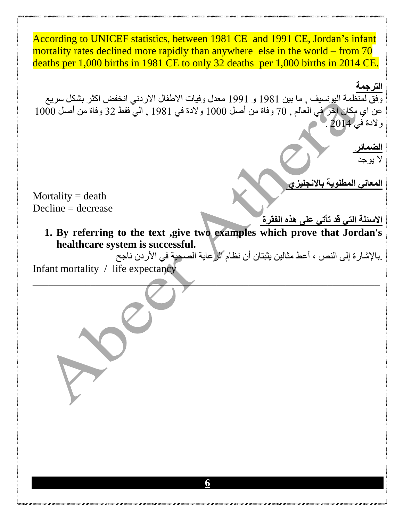According to UNICEF statistics, between 1981 CE and 1991 CE, Jordan's infant mortality rates declined more rapidly than anywhere else in the world – from 70 deaths per 1,000 births in 1981 CE to only 32 deaths per 1,000 births in 2014 CE.

**الترجمة** وفق لمنظمة اليونسيف , ما بين 1981 و 1991 معدل وفيات الاطفال الاردني انخفض اكثر بشكل سريع عن اي مكان اخر في العالم , 70 وفاة من أصل 1000 والدة في 1981 , الي فقط 32 وفاة من أصل 1000 والدة في 2014 .

**الضمائر**  ال يوجد

**المعاني المطلوية باالنجليزي** 

Mortality  $=$  death  $Decline = decrease$ 

- **االسئلة التي قد تأتي على هذه الفقرة**
- **1. By referring to the text ,give two examples which prove that Jordan's healthcare system is successful.**

\_\_\_\_\_\_\_\_\_\_\_\_\_\_\_\_\_\_\_\_\_\_\_\_\_\_\_\_\_\_\_\_\_\_\_\_\_\_\_\_\_\_\_\_\_\_\_\_\_\_\_\_\_\_\_\_\_\_\_\_\_\_\_\_\_\_

.باإلشارة إلى النص ، أعط مثالين يثبتان أن نظام الرعاية الصحية في األردن ناجح

Infant mortality / life expectancy